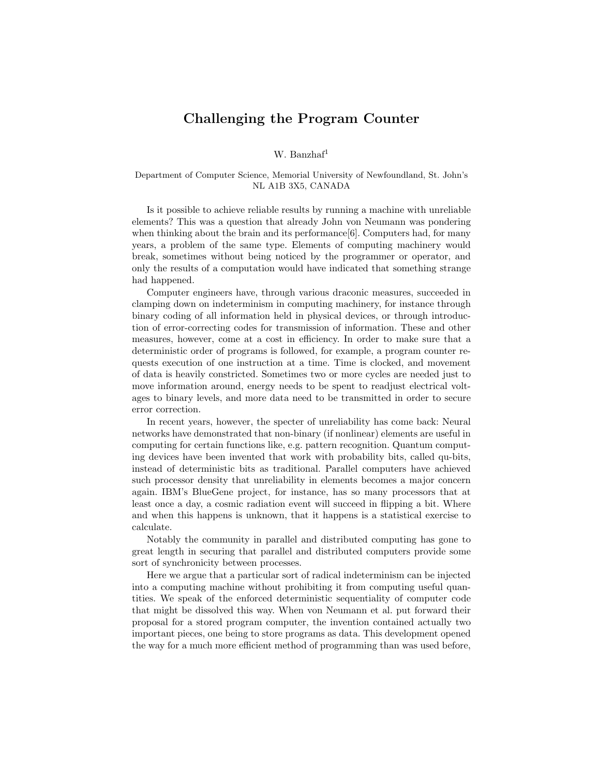## Challenging the Program Counter

W. Banzhaf<sup>1</sup>

## Department of Computer Science, Memorial University of Newfoundland, St. John's NL A1B 3X5, CANADA

Is it possible to achieve reliable results by running a machine with unreliable elements? This was a question that already John von Neumann was pondering when thinking about the brain and its performance  $[6]$ . Computers had, for many years, a problem of the same type. Elements of computing machinery would break, sometimes without being noticed by the programmer or operator, and only the results of a computation would have indicated that something strange had happened.

Computer engineers have, through various draconic measures, succeeded in clamping down on indeterminism in computing machinery, for instance through binary coding of all information held in physical devices, or through introduction of error-correcting codes for transmission of information. These and other measures, however, come at a cost in efficiency. In order to make sure that a deterministic order of programs is followed, for example, a program counter requests execution of one instruction at a time. Time is clocked, and movement of data is heavily constricted. Sometimes two or more cycles are needed just to move information around, energy needs to be spent to readjust electrical voltages to binary levels, and more data need to be transmitted in order to secure error correction.

In recent years, however, the specter of unreliability has come back: Neural networks have demonstrated that non-binary (if nonlinear) elements are useful in computing for certain functions like, e.g. pattern recognition. Quantum computing devices have been invented that work with probability bits, called qu-bits, instead of deterministic bits as traditional. Parallel computers have achieved such processor density that unreliability in elements becomes a major concern again. IBM's BlueGene project, for instance, has so many processors that at least once a day, a cosmic radiation event will succeed in flipping a bit. Where and when this happens is unknown, that it happens is a statistical exercise to calculate.

Notably the community in parallel and distributed computing has gone to great length in securing that parallel and distributed computers provide some sort of synchronicity between processes.

Here we argue that a particular sort of radical indeterminism can be injected into a computing machine without prohibiting it from computing useful quantities. We speak of the enforced deterministic sequentiality of computer code that might be dissolved this way. When von Neumann et al. put forward their proposal for a stored program computer, the invention contained actually two important pieces, one being to store programs as data. This development opened the way for a much more efficient method of programming than was used before,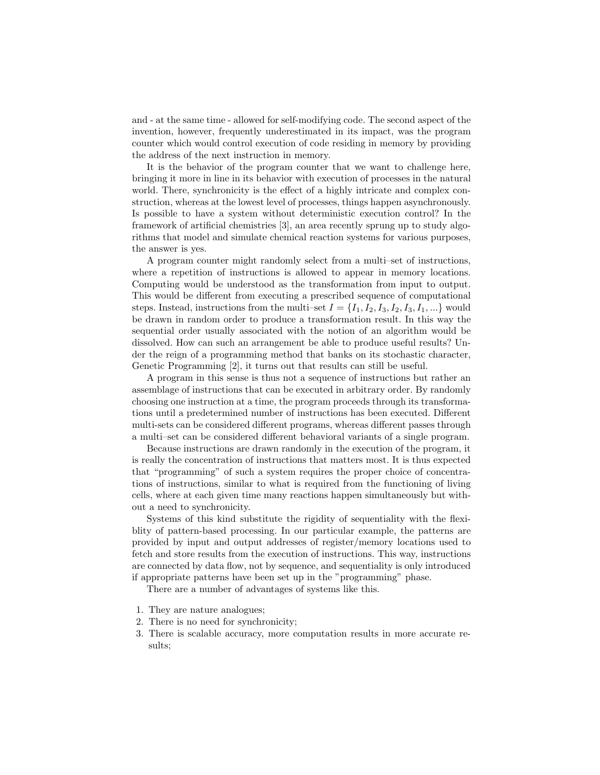and - at the same time - allowed for self-modifying code. The second aspect of the invention, however, frequently underestimated in its impact, was the program counter which would control execution of code residing in memory by providing the address of the next instruction in memory.

It is the behavior of the program counter that we want to challenge here, bringing it more in line in its behavior with execution of processes in the natural world. There, synchronicity is the effect of a highly intricate and complex construction, whereas at the lowest level of processes, things happen asynchronously. Is possible to have a system without deterministic execution control? In the framework of artificial chemistries [3], an area recently sprung up to study algorithms that model and simulate chemical reaction systems for various purposes, the answer is yes.

A program counter might randomly select from a multi–set of instructions, where a repetition of instructions is allowed to appear in memory locations. Computing would be understood as the transformation from input to output. This would be different from executing a prescribed sequence of computational steps. Instead, instructions from the multi–set  $I = \{I_1, I_2, I_3, I_2, I_3, I_1, ...\}$  would be drawn in random order to produce a transformation result. In this way the sequential order usually associated with the notion of an algorithm would be dissolved. How can such an arrangement be able to produce useful results? Under the reign of a programming method that banks on its stochastic character, Genetic Programming [2], it turns out that results can still be useful.

A program in this sense is thus not a sequence of instructions but rather an assemblage of instructions that can be executed in arbitrary order. By randomly choosing one instruction at a time, the program proceeds through its transformations until a predetermined number of instructions has been executed. Different multi-sets can be considered different programs, whereas different passes through a multi–set can be considered different behavioral variants of a single program.

Because instructions are drawn randomly in the execution of the program, it is really the concentration of instructions that matters most. It is thus expected that "programming" of such a system requires the proper choice of concentrations of instructions, similar to what is required from the functioning of living cells, where at each given time many reactions happen simultaneously but without a need to synchronicity.

Systems of this kind substitute the rigidity of sequentiality with the flexiblity of pattern-based processing. In our particular example, the patterns are provided by input and output addresses of register/memory locations used to fetch and store results from the execution of instructions. This way, instructions are connected by data flow, not by sequence, and sequentiality is only introduced if appropriate patterns have been set up in the "programming" phase.

There are a number of advantages of systems like this.

- 1. They are nature analogues;
- 2. There is no need for synchronicity;
- 3. There is scalable accuracy, more computation results in more accurate results;